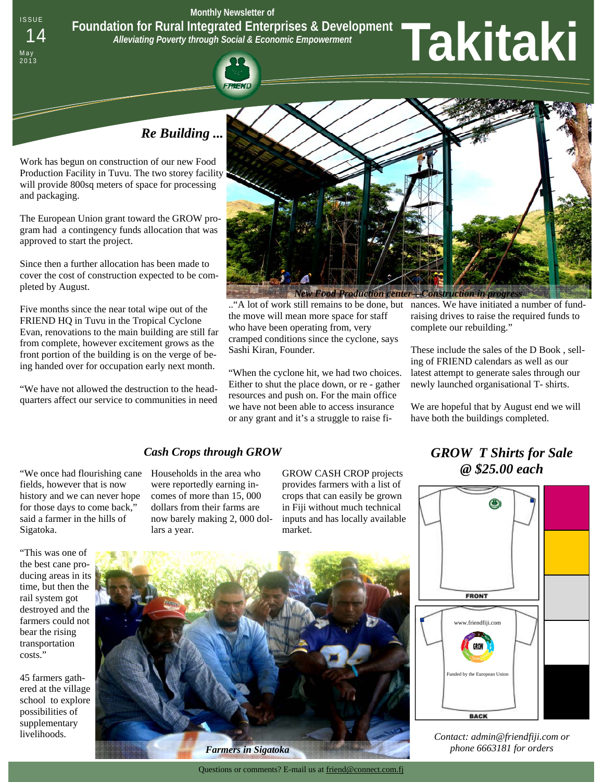ISSUE **Monthly Newsletter of** 

**Foundation for Rural Integrated Enterprises & Development** 

*Alleviating Poverty through Social & Economic Empowerment* 

# <sup>14</sup>**Takitaki**

 *Re Building ...* 

Work has begun on construction of our new Food Production Facility in Tuvu. The two storey facility will provide 800sq meters of space for processing and packaging.

May<br>2013

The European Union grant toward the GROW program had a contingency funds allocation that was approved to start the project.

Since then a further allocation has been made to cover the cost of construction expected to be completed by August.

Five months since the near total wipe out of the FRIEND HQ in Tuvu in the Tropical Cyclone Evan, renovations to the main building are still far from complete, however excitement grows as the front portion of the building is on the verge of being handed over for occupation early next month.

"We have not allowed the destruction to the headquarters affect our service to communities in need



the move will mean more space for staff who have been operating from, very cramped conditions since the cyclone, says Sashi Kiran, Founder.

"When the cyclone hit, we had two choices. Either to shut the place down, or re - gather resources and push on. For the main office we have not been able to access insurance or any grant and it's a struggle to raise fi-

.."A lot of work still remains to be done, but nances. We have initiated a number of fundraising drives to raise the required funds to complete our rebuilding."

> These include the sales of the D Book , selling of FRIEND calendars as well as our latest attempt to generate sales through our newly launched organisational T- shirts.

We are hopeful that by August end we will have both the buildings completed.

*@ \$25.00 each* 

# *Cash Crops through GROW GROW T Shirts for Sale*

"We once had flourishing cane fields, however that is now history and we can never hope for those days to come back," said a farmer in the hills of Sigatoka.

"This was one of the best cane producing areas in its time, but then the rail system got destroyed and the farmers could not bear the rising transportation costs."

45 farmers gathered at the village school to explore possibilities of supplementary livelihoods.



GROW CASH CROP projects provides farmers with a list of crops that can easily be grown in Fiji without much technical inputs and has locally available market.



*Contact: admin@friendfiji.com or phone 6663181 for orders* 

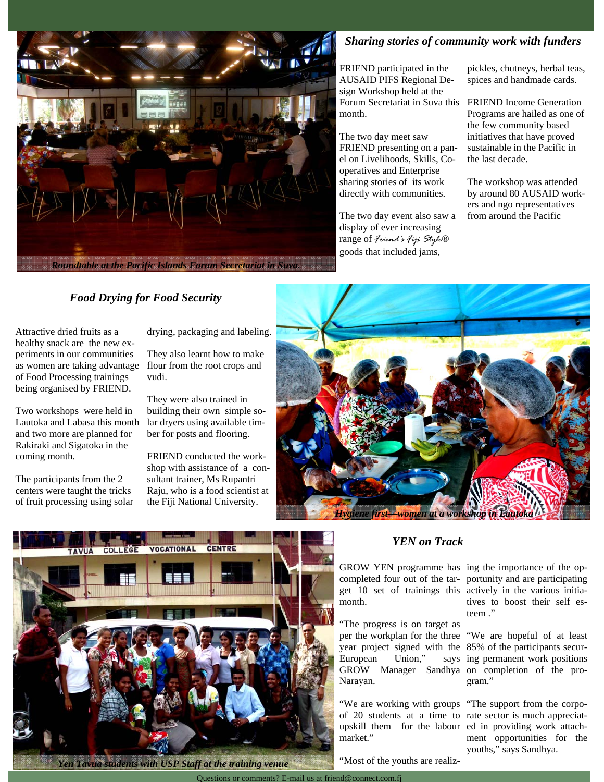

# *Sharing stories of community work with funders*

FRIEND participated in the AUSAID PIFS Regional Design Workshop held at the Forum Secretariat in Suva this month.

The two day meet saw FRIEND presenting on a panel on Livelihoods, Skills, Cooperatives and Enterprise sharing stories of its work directly with communities.

The two day event also saw a display of ever increasing range of *Friend's Fiji Style*® goods that included jams,

pickles, chutneys, herbal teas, spices and handmade cards.

FRIEND Income Generation Programs are hailed as one of the few community based initiatives that have proved sustainable in the Pacific in the last decade.

The workshop was attended by around 80 AUSAID workers and ngo representatives from around the Pacific

# *Food Drying for Food Security*

Attractive dried fruits as a healthy snack are the new experiments in our communities as women are taking advantage of Food Processing trainings being organised by FRIEND.

Two workshops were held in Lautoka and Labasa this month and two more are planned for Rakiraki and Sigatoka in the coming month.

The participants from the 2 centers were taught the tricks of fruit processing using solar drying, packaging and labeling.

They also learnt how to make flour from the root crops and vudi.

They were also trained in building their own simple solar dryers using available timber for posts and flooring.

FRIEND conducted the workshop with assistance of a consultant trainer, Ms Rupantri Raju, who is a food scientist at the Fiji National University.





*Yen Tavua students with USP Staff at the training venue* 

# *YEN on Track*

GROW YEN programme has ing the importance of the opcompleted four out of the tar-portunity and are participating get 10 set of trainings this actively in the various initiamonth.

"The progress is on target as per the workplan for the three "We are hopeful of at least year project signed with the 85% of the participants secur-European Union," GROW Manager Sandhya on completion of the pro-Narayan.

"We are working with groups "The support from the corpoof 20 students at a time to rate sector is much appreciatupskill them for the labour ed in providing work attachmarket."

"Most of the youths are realiz-

tives to boost their self esteem ."

says ing permanent work positions gram."

> ment opportunities for the youths," says Sandhya.

Questions or comments? E-mail us at friend@connect.com.fj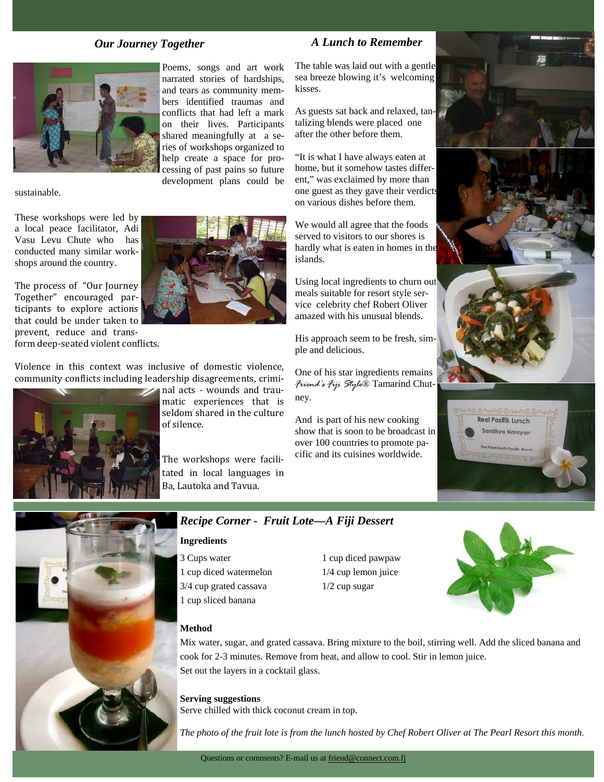#### *Our Journey Together*



sustainable.

These workshops were led by a local peace facilitator, Adi Vasu Levu Chute who has conducted many similar workshops around the country.

The process of "Our Journey Together" encouraged participants to explore actions that could be under taken to prevent, reduce and transform deep-seated violent conflicts.

Violence in this context was inclusive of domestic violence, community conflicts including leadership disagreements, crimi-



and nal acts - wounds and traumatic experiences that is seldom shared in the culture of silence.

development plans could be

The workshops were facilitated in local languages in Ba. Lautoka and Tavua.

# *A Lunch to Remember*

The table was laid out with a gentle sea breeze blowing it's welcoming kisses.

As guests sat back and relaxed, tantalizing blends were placed one after the other before them.

"It is what I have always eaten at home, but it somehow tastes different," was exclaimed by more than one guest as they gave their verdicts on various dishes before them.

We would all agree that the foods served to visitors to our shores is hardly what is eaten in homes in the islands.

Using local ingredients to churn out meals suitable for resort style service celebrity chef Robert Oliver amazed with his unusual blends.

His approach seem to be fresh, simple and delicious.

One of his star ingredients remains *Friend's Fiji Style*® Tamarind Chutney.

And is part of his new cooking show that is soon to be broadcast in over 100 countries to promote pacific and its cuisines worldwide.







### *Recipe Corner - Fruit Lote—A Fiji Dessert*

#### **Ingredients**

3 Cups water 1 cup diced pawpaw 1 cup diced watermelon 1/4 cup lemon juice 3/4 cup grated cassava 1/2 cup sugar 1 cup sliced banana



#### **Method**

Mix water, sugar, and grated cassava. Bring mixture to the boil, stirring well. Add the sliced banana and cook for 2-3 minutes. Remove from heat, and allow to cool. Stir in lemon juice. Set out the layers in a cocktail glass.

**Serving suggestions** Serve chilled with thick coconut cream in top.

*The photo of the fruit lote is from the lunch hosted by Chef Robert Oliver at The Pearl Resort this month.*